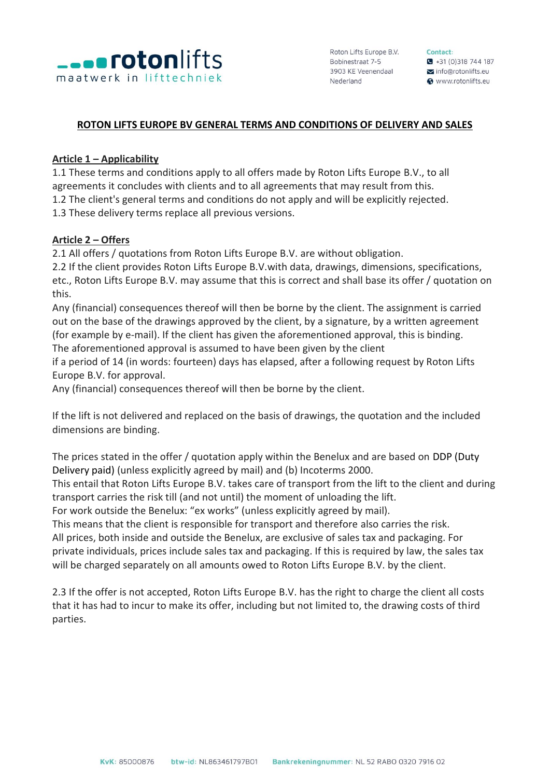

Contact:  $\bullet$  +31 (0)318 744 187 info@rotonlifts eu **@** www.rotonlifts.eu

## **ROTON LIFTS EUROPE BV GENERAL TERMS AND CONDITIONS OF DELIVERY AND SALES**

## **Article 1 – Applicability**

1.1 These terms and conditions apply to all offers made by Roton Lifts Europe B.V., to all agreements it concludes with clients and to all agreements that may result from this. 1.2 The client's general terms and conditions do not apply and will be explicitly rejected. 1.3 These delivery terms replace all previous versions.

#### **Article 2 – Offers**

2.1 All offers / quotations from Roton Lifts Europe B.V. are without obligation.

2.2 If the client provides Roton Lifts Europe B.V.with data, drawings, dimensions, specifications, etc., Roton Lifts Europe B.V. may assume that this is correct and shall base its offer / quotation on this.

Any (financial) consequences thereof will then be borne by the client. The assignment is carried out on the base of the drawings approved by the client, by a signature, by a written agreement (for example by e-mail). If the client has given the aforementioned approval, this is binding. The aforementioned approval is assumed to have been given by the client

if a period of 14 (in words: fourteen) days has elapsed, after a following request by Roton Lifts Europe B.V. for approval.

Any (financial) consequences thereof will then be borne by the client.

If the lift is not delivered and replaced on the basis of drawings, the quotation and the included dimensions are binding.

The prices stated in the offer / quotation apply within the Benelux and are based on DDP (Duty Delivery paid) (unless explicitly agreed by mail) and (b) Incoterms 2000.

This entail that Roton Lifts Europe B.V. takes care of transport from the lift to the client and during transport carries the risk till (and not until) the moment of unloading the lift.

For work outside the Benelux: "ex works" (unless explicitly agreed by mail).

This means that the client is responsible for transport and therefore also carries the risk. All prices, both inside and outside the Benelux, are exclusive of sales tax and packaging. For private individuals, prices include sales tax and packaging. If this is required by law, the sales tax

will be charged separately on all amounts owed to Roton Lifts Europe B.V. by the client.

2.3 If the offer is not accepted, Roton Lifts Europe B.V. has the right to charge the client all costs that it has had to incur to make its offer, including but not limited to, the drawing costs of third parties.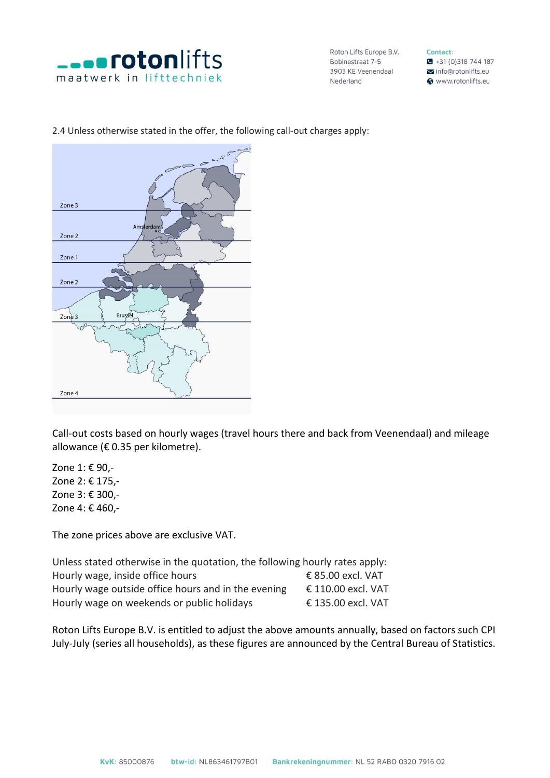

Contact:  $\bullet$  +31 (0)318 744 187 info@rotonlifts.eu Www.rotonlifts.eu



# 2.4 Unless otherwise stated in the offer, the following call-out charges apply:

Call-out costs based on hourly wages (travel hours there and back from Veenendaal) and mileage allowance (€ 0.35 per kilometre).

Zone 1: € 90,- Zone 2: € 175,- Zone 3: € 300,- Zone 4: € 460,-

The zone prices above are exclusive VAT.

Unless stated otherwise in the quotation, the following hourly rates apply: Hourly wage, inside office hours  $\epsilon$  85.00 excl. VAT Hourly wage outside office hours and in the evening  $\epsilon$  110.00 excl. VAT Hourly wage on weekends or public holidays € 135.00 excl. VAT

Roton Lifts Europe B.V. is entitled to adjust the above amounts annually, based on factors such CPI July-July (series all households), as these figures are announced by the Central Bureau of Statistics.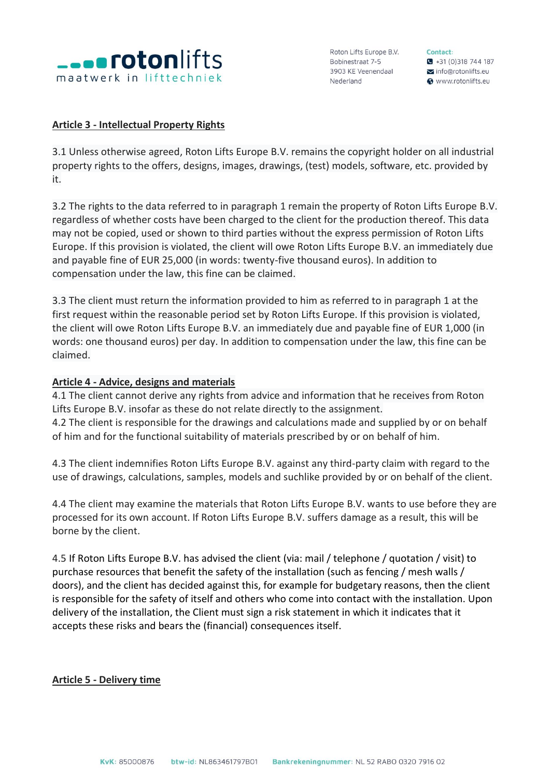

Contact:  $\bullet$  +31 (0)318 744 187 info@rotonlifts.eu **@** www.rotonlifts.eu

## **Article 3 - Intellectual Property Rights**

3.1 Unless otherwise agreed, Roton Lifts Europe B.V. remains the copyright holder on all industrial property rights to the offers, designs, images, drawings, (test) models, software, etc. provided by it.

3.2 The rights to the data referred to in paragraph 1 remain the property of Roton Lifts Europe B.V. regardless of whether costs have been charged to the client for the production thereof. This data may not be copied, used or shown to third parties without the express permission of Roton Lifts Europe. If this provision is violated, the client will owe Roton Lifts Europe B.V. an immediately due and payable fine of EUR 25,000 (in words: twenty-five thousand euros). In addition to compensation under the law, this fine can be claimed.

3.3 The client must return the information provided to him as referred to in paragraph 1 at the first request within the reasonable period set by Roton Lifts Europe. If this provision is violated, the client will owe Roton Lifts Europe B.V. an immediately due and payable fine of EUR 1,000 (in words: one thousand euros) per day. In addition to compensation under the law, this fine can be claimed.

# **Article 4 - Advice, designs and materials**

4.1 The client cannot derive any rights from advice and information that he receives from Roton Lifts Europe B.V. insofar as these do not relate directly to the assignment. 4.2 The client is responsible for the drawings and calculations made and supplied by or on behalf of him and for the functional suitability of materials prescribed by or on behalf of him.

4.3 The client indemnifies Roton Lifts Europe B.V. against any third-party claim with regard to the use of drawings, calculations, samples, models and suchlike provided by or on behalf of the client.

4.4 The client may examine the materials that Roton Lifts Europe B.V. wants to use before they are processed for its own account. If Roton Lifts Europe B.V. suffers damage as a result, this will be borne by the client.

4.5 If Roton Lifts Europe B.V. has advised the client (via: mail / telephone / quotation / visit) to purchase resources that benefit the safety of the installation (such as fencing / mesh walls / doors), and the client has decided against this, for example for budgetary reasons, then the client is responsible for the safety of itself and others who come into contact with the installation. Upon delivery of the installation, the Client must sign a risk statement in which it indicates that it accepts these risks and bears the (financial) consequences itself.

# **Article 5 - Delivery time**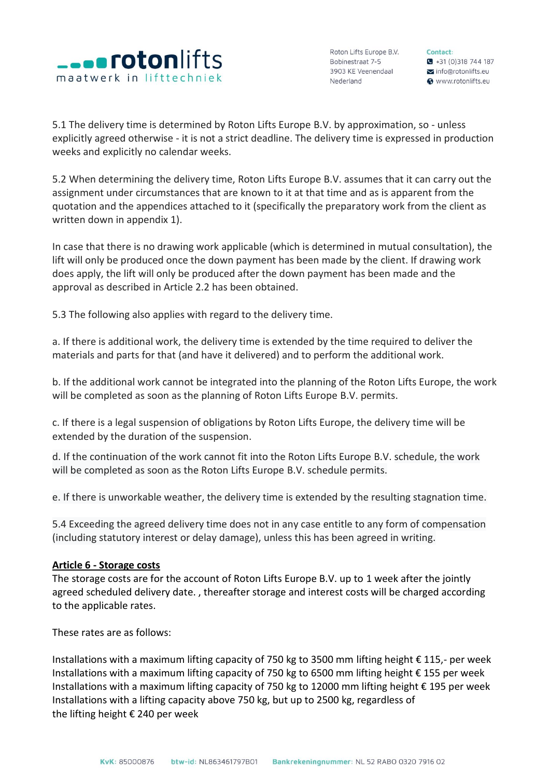

Roton Lifts Europe B.V. Bobinestraat 7-5 ворілеѕтгаат 7-5<br>3903 KE Veenendaal Nederland

Contact:  $\bullet$  +31 (0) 318 744 187 Info@rotonlifts.eu **@** www.rotonlifts.eu

5.1 The delivery time is determined by Roton Lifts Europe B.V. by approximation, so - unless explicitly agreed otherwise - it is not a strict deadline. The delivery time is expressed in production weeks and explicitly no calendar weeks.

5.2 When determining the delivery time, Roton Lifts Europe B.V. assumes that it can carry out the assignment under circumstances that are known to it at that time and as is apparent from the quotation and the appendices attached to it (specifically the preparatory work from the client as written down in appendix 1).

In case that there is no drawing work applicable (which is determined in mutual consultation), the lift will only be produced once the down payment has been made by the client. If drawing work does apply, the lift will only be produced after the down payment has been made and the approval as described in Article 2.2 has been obtained.

5.3 The following also applies with regard to the delivery time.

a. If there is additional work, the delivery time is extended by the time required to deliver the materials and parts for that (and have it delivered) and to perform the additional work.

b. If the additional work cannot be integrated into the planning of the Roton Lifts Europe, the work will be completed as soon as the planning of Roton Lifts Europe B.V. permits.

c. If there is a legal suspension of obligations by Roton Lifts Europe, the delivery time will be extended by the duration of the suspension.

d. If the continuation of the work cannot fit into the Roton Lifts Europe B.V. schedule, the work will be completed as soon as the Roton Lifts Europe B.V. schedule permits.

e. If there is unworkable weather, the delivery time is extended by the resulting stagnation time.

5.4 Exceeding the agreed delivery time does not in any case entitle to any form of compensation (including statutory interest or delay damage), unless this has been agreed in writing.

## **Article 6 - Storage costs**

The storage costs are for the account of Roton Lifts Europe B.V. up to 1 week after the jointly agreed scheduled delivery date. , thereafter storage and interest costs will be charged according to the applicable rates.

These rates are as follows:

Installations with a maximum lifting capacity of 750 kg to 3500 mm lifting height € 115,- per week Installations with a maximum lifting capacity of 750 kg to 6500 mm lifting height € 155 per week Installations with a maximum lifting capacity of 750 kg to 12000 mm lifting height € 195 per week Installations with a lifting capacity above 750 kg, but up to 2500 kg, regardless of the lifting height € 240 per week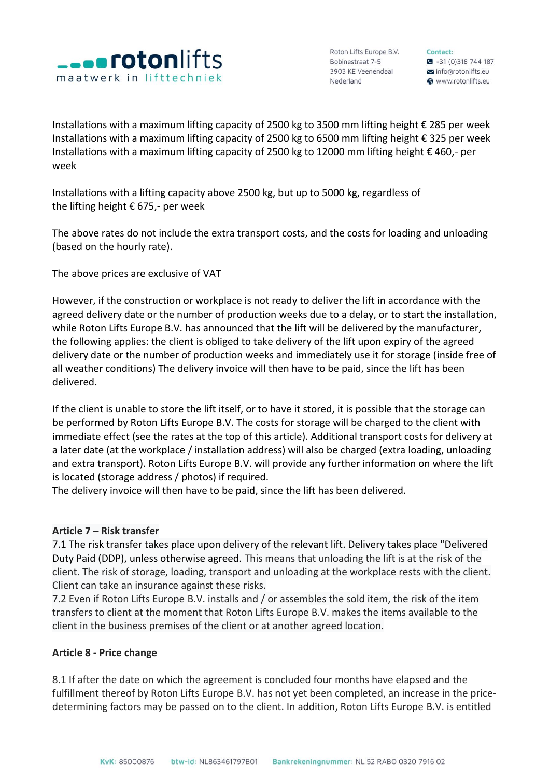

Contact:  $\bullet$  +31 (0)318 744 187 info@rotonlifts.eu **@** www.rotonlifts.eu

Installations with a maximum lifting capacity of 2500 kg to 3500 mm lifting height € 285 per week Installations with a maximum lifting capacity of 2500 kg to 6500 mm lifting height € 325 per week Installations with a maximum lifting capacity of 2500 kg to 12000 mm lifting height € 460,- per week

Installations with a lifting capacity above 2500 kg, but up to 5000 kg, regardless of the lifting height € 675,- per week

The above rates do not include the extra transport costs, and the costs for loading and unloading (based on the hourly rate).

The above prices are exclusive of VAT

However, if the construction or workplace is not ready to deliver the lift in accordance with the agreed delivery date or the number of production weeks due to a delay, or to start the installation, while Roton Lifts Europe B.V. has announced that the lift will be delivered by the manufacturer, the following applies: the client is obliged to take delivery of the lift upon expiry of the agreed delivery date or the number of production weeks and immediately use it for storage (inside free of all weather conditions) The delivery invoice will then have to be paid, since the lift has been delivered.

If the client is unable to store the lift itself, or to have it stored, it is possible that the storage can be performed by Roton Lifts Europe B.V. The costs for storage will be charged to the client with immediate effect (see the rates at the top of this article). Additional transport costs for delivery at a later date (at the workplace / installation address) will also be charged (extra loading, unloading and extra transport). Roton Lifts Europe B.V. will provide any further information on where the lift is located (storage address / photos) if required.

The delivery invoice will then have to be paid, since the lift has been delivered.

## **Article 7 – Risk transfer**

7.1 The risk transfer takes place upon delivery of the relevant lift. Delivery takes place "Delivered Duty Paid (DDP), unless otherwise agreed. This means that unloading the lift is at the risk of the client. The risk of storage, loading, transport and unloading at the workplace rests with the client. Client can take an insurance against these risks.

7.2 Even if Roton Lifts Europe B.V. installs and / or assembles the sold item, the risk of the item transfers to client at the moment that Roton Lifts Europe B.V. makes the items available to the client in the business premises of the client or at another agreed location.

## **Article 8 - Price change**

8.1 If after the date on which the agreement is concluded four months have elapsed and the fulfillment thereof by Roton Lifts Europe B.V. has not yet been completed, an increase in the pricedetermining factors may be passed on to the client. In addition, Roton Lifts Europe B.V. is entitled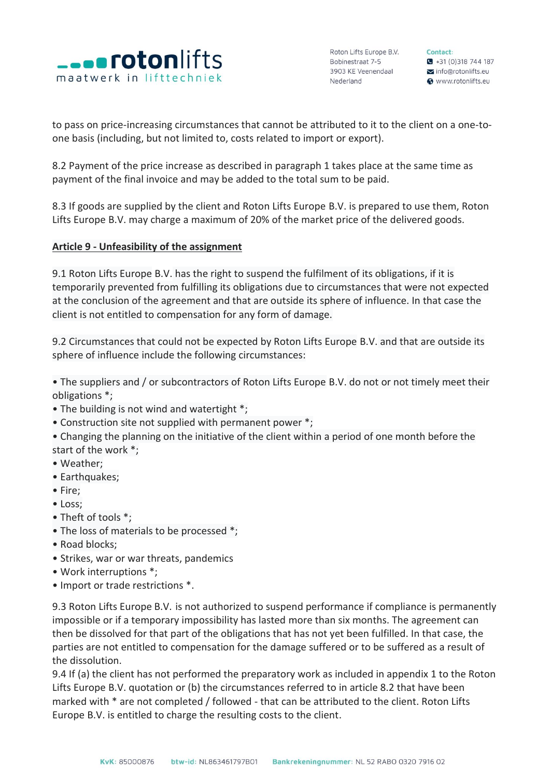

Contact:  $\bullet$  +31 (0) 318 744 187 info@rotonlifts.eu **@** www.rotonlifts.eu

to pass on price-increasing circumstances that cannot be attributed to it to the client on a one-toone basis (including, but not limited to, costs related to import or export).

8.2 Payment of the price increase as described in paragraph 1 takes place at the same time as payment of the final invoice and may be added to the total sum to be paid.

8.3 If goods are supplied by the client and Roton Lifts Europe B.V. is prepared to use them, Roton Lifts Europe B.V. may charge a maximum of 20% of the market price of the delivered goods.

## **Article 9 - Unfeasibility of the assignment**

9.1 Roton Lifts Europe B.V. has the right to suspend the fulfilment of its obligations, if it is temporarily prevented from fulfilling its obligations due to circumstances that were not expected at the conclusion of the agreement and that are outside its sphere of influence. In that case the client is not entitled to compensation for any form of damage.

9.2 Circumstances that could not be expected by Roton Lifts Europe B.V. and that are outside its sphere of influence include the following circumstances:

• The suppliers and / or subcontractors of Roton Lifts Europe B.V. do not or not timely meet their obligations \*;

- The building is not wind and watertight \*;
- Construction site not supplied with permanent power \*;
- Changing the planning on the initiative of the client within a period of one month before the start of the work \*;
- Weather;
- Earthquakes;
- Fire;
- Loss;
- Theft of tools \*;
- The loss of materials to be processed \*;
- Road blocks;
- Strikes, war or war threats, pandemics
- Work interruptions \*;
- Import or trade restrictions \*.

9.3 Roton Lifts Europe B.V. is not authorized to suspend performance if compliance is permanently impossible or if a temporary impossibility has lasted more than six months. The agreement can then be dissolved for that part of the obligations that has not yet been fulfilled. In that case, the parties are not entitled to compensation for the damage suffered or to be suffered as a result of the dissolution.

9.4 If (a) the client has not performed the preparatory work as included in appendix 1 to the Roton Lifts Europe B.V. quotation or (b) the circumstances referred to in article 8.2 that have been marked with \* are not completed / followed - that can be attributed to the client. Roton Lifts Europe B.V. is entitled to charge the resulting costs to the client.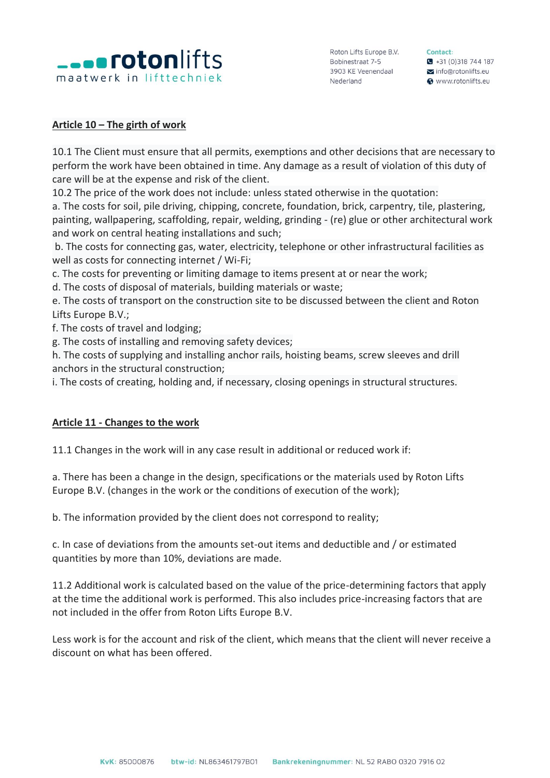

Contact:  $\bullet$  +31 (0) 318 744 187 info@rotonlifts.eu Www.rotonlifts.eu

## **Article 10 – The girth of work**

10.1 The Client must ensure that all permits, exemptions and other decisions that are necessary to perform the work have been obtained in time. Any damage as a result of violation of this duty of care will be at the expense and risk of the client.

10.2 The price of the work does not include: unless stated otherwise in the quotation:

a. The costs for soil, pile driving, chipping, concrete, foundation, brick, carpentry, tile, plastering, painting, wallpapering, scaffolding, repair, welding, grinding - (re) glue or other architectural work and work on central heating installations and such;

b. The costs for connecting gas, water, electricity, telephone or other infrastructural facilities as well as costs for connecting internet / Wi-Fi;

c. The costs for preventing or limiting damage to items present at or near the work;

d. The costs of disposal of materials, building materials or waste;

e. The costs of transport on the construction site to be discussed between the client and Roton Lifts Europe B.V.;

f. The costs of travel and lodging;

g. The costs of installing and removing safety devices;

h. The costs of supplying and installing anchor rails, hoisting beams, screw sleeves and drill anchors in the structural construction;

i. The costs of creating, holding and, if necessary, closing openings in structural structures.

# **Article 11 - Changes to the work**

11.1 Changes in the work will in any case result in additional or reduced work if:

a. There has been a change in the design, specifications or the materials used by Roton Lifts Europe B.V. (changes in the work or the conditions of execution of the work);

b. The information provided by the client does not correspond to reality;

c. In case of deviations from the amounts set-out items and deductible and / or estimated quantities by more than 10%, deviations are made.

11.2 Additional work is calculated based on the value of the price-determining factors that apply at the time the additional work is performed. This also includes price-increasing factors that are not included in the offer from Roton Lifts Europe B.V.

Less work is for the account and risk of the client, which means that the client will never receive a discount on what has been offered.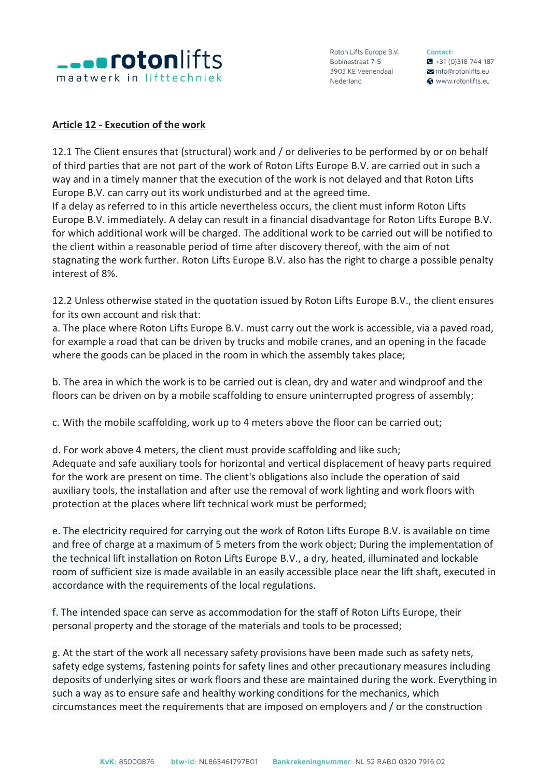

Contact:  $\bullet$  +31 (0) 318 744 187  $\sum$  info@rotonlifts.eu Www.rotonlifts.eu

#### **Article 12 - Execution of the work**

12.1 The Client ensures that (structural) work and / or deliveries to be performed by or on behalf of third parties that are not part of the work of Roton Lifts Europe B.V. are carried out in such a way and in a timely manner that the execution of the work is not delayed and that Roton Lifts Europe B.V. can carry out its work undisturbed and at the agreed time.

If a delay as referred to in this article nevertheless occurs, the client must inform Roton Lifts Europe B.V. immediately. A delay can result in a financial disadvantage for Roton Lifts Europe B.V. for which additional work will be charged. The additional work to be carried out will be notified to the client within a reasonable period of time after discovery thereof, with the aim of not stagnating the work further. Roton Lifts Europe B.V. also has the right to charge a possible penalty interest of 8%.

12.2 Unless otherwise stated in the quotation issued by Roton Lifts Europe B.V., the client ensures for its own account and risk that:

a. The place where Roton Lifts Europe B.V. must carry out the work is accessible, via a paved road, for example a road that can be driven by trucks and mobile cranes, and an opening in the facade where the goods can be placed in the room in which the assembly takes place;

b. The area in which the work is to be carried out is clean, dry and water and windproof and the floors can be driven on by a mobile scaffolding to ensure uninterrupted progress of assembly;

c. With the mobile scaffolding, work up to 4 meters above the floor can be carried out;

d. For work above 4 meters, the client must provide scaffolding and like such;

Adequate and safe auxiliary tools for horizontal and vertical displacement of heavy parts required for the work are present on time. The client's obligations also include the operation of said auxiliary tools, the installation and after use the removal of work lighting and work floors with protection at the places where lift technical work must be performed;

e. The electricity required for carrying out the work of Roton Lifts Europe B.V. is available on time and free of charge at a maximum of 5 meters from the work object; During the implementation of the technical lift installation on Roton Lifts Europe B.V., a dry, heated, illuminated and lockable room of sufficient size is made available in an easily accessible place near the lift shaft, executed in accordance with the requirements of the local regulations.

f. The intended space can serve as accommodation for the staff of Roton Lifts Europe, their personal property and the storage of the materials and tools to be processed;

g. At the start of the work all necessary safety provisions have been made such as safety nets, safety edge systems, fastening points for safety lines and other precautionary measures including deposits of underlying sites or work floors and these are maintained during the work. Everything in such a way as to ensure safe and healthy working conditions for the mechanics, which circumstances meet the requirements that are imposed on employers and / or the construction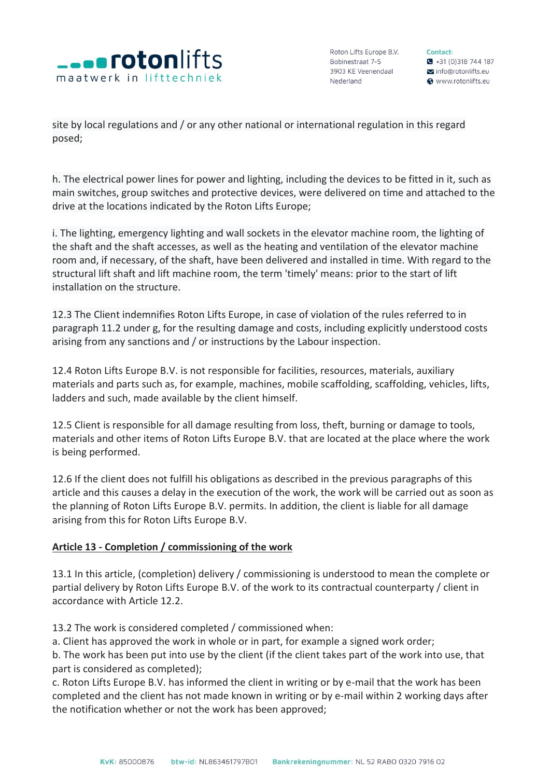

Contact:  $\bullet$  +31 (0)318 744 187 info@rotonlifts.eu **@** www.rotonlifts.eu

site by local regulations and / or any other national or international regulation in this regard posed;

h. The electrical power lines for power and lighting, including the devices to be fitted in it, such as main switches, group switches and protective devices, were delivered on time and attached to the drive at the locations indicated by the Roton Lifts Europe;

i. The lighting, emergency lighting and wall sockets in the elevator machine room, the lighting of the shaft and the shaft accesses, as well as the heating and ventilation of the elevator machine room and, if necessary, of the shaft, have been delivered and installed in time. With regard to the structural lift shaft and lift machine room, the term 'timely' means: prior to the start of lift installation on the structure.

12.3 The Client indemnifies Roton Lifts Europe, in case of violation of the rules referred to in paragraph 11.2 under g, for the resulting damage and costs, including explicitly understood costs arising from any sanctions and / or instructions by the Labour inspection.

12.4 Roton Lifts Europe B.V. is not responsible for facilities, resources, materials, auxiliary materials and parts such as, for example, machines, mobile scaffolding, scaffolding, vehicles, lifts, ladders and such, made available by the client himself.

12.5 Client is responsible for all damage resulting from loss, theft, burning or damage to tools, materials and other items of Roton Lifts Europe B.V. that are located at the place where the work is being performed.

12.6 If the client does not fulfill his obligations as described in the previous paragraphs of this article and this causes a delay in the execution of the work, the work will be carried out as soon as the planning of Roton Lifts Europe B.V. permits. In addition, the client is liable for all damage arising from this for Roton Lifts Europe B.V.

# **Article 13 - Completion / commissioning of the work**

13.1 In this article, (completion) delivery / commissioning is understood to mean the complete or partial delivery by Roton Lifts Europe B.V. of the work to its contractual counterparty / client in accordance with Article 12.2.

13.2 The work is considered completed / commissioned when:

a. Client has approved the work in whole or in part, for example a signed work order;

b. The work has been put into use by the client (if the client takes part of the work into use, that part is considered as completed);

c. Roton Lifts Europe B.V. has informed the client in writing or by e-mail that the work has been completed and the client has not made known in writing or by e-mail within 2 working days after the notification whether or not the work has been approved;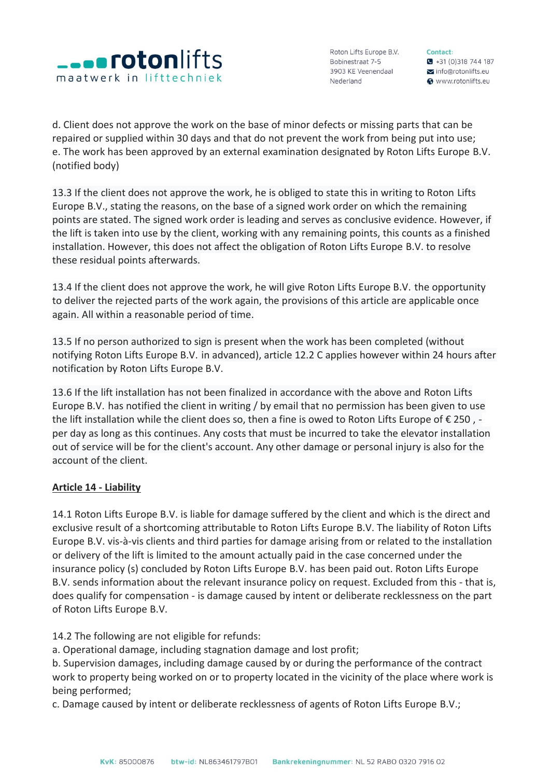

Contact:  $\bullet$  +31 (0) 318 744 187 info@rotonlifts.eu **@** www.rotonlifts.eu

d. Client does not approve the work on the base of minor defects or missing parts that can be repaired or supplied within 30 days and that do not prevent the work from being put into use; e. The work has been approved by an external examination designated by Roton Lifts Europe B.V. (notified body)

13.3 If the client does not approve the work, he is obliged to state this in writing to Roton Lifts Europe B.V., stating the reasons, on the base of a signed work order on which the remaining points are stated. The signed work order is leading and serves as conclusive evidence. However, if the lift is taken into use by the client, working with any remaining points, this counts as a finished installation. However, this does not affect the obligation of Roton Lifts Europe B.V. to resolve these residual points afterwards.

13.4 If the client does not approve the work, he will give Roton Lifts Europe B.V. the opportunity to deliver the rejected parts of the work again, the provisions of this article are applicable once again. All within a reasonable period of time.

13.5 If no person authorized to sign is present when the work has been completed (without notifying Roton Lifts Europe B.V. in advanced), article 12.2 C applies however within 24 hours after notification by Roton Lifts Europe B.V.

13.6 If the lift installation has not been finalized in accordance with the above and Roton Lifts Europe B.V. has notified the client in writing / by email that no permission has been given to use the lift installation while the client does so, then a fine is owed to Roton Lifts Europe of € 250 , per day as long as this continues. Any costs that must be incurred to take the elevator installation out of service will be for the client's account. Any other damage or personal injury is also for the account of the client.

# **Article 14 - Liability**

14.1 Roton Lifts Europe B.V. is liable for damage suffered by the client and which is the direct and exclusive result of a shortcoming attributable to Roton Lifts Europe B.V. The liability of Roton Lifts Europe B.V. vis-à-vis clients and third parties for damage arising from or related to the installation or delivery of the lift is limited to the amount actually paid in the case concerned under the insurance policy (s) concluded by Roton Lifts Europe B.V. has been paid out. Roton Lifts Europe B.V. sends information about the relevant insurance policy on request. Excluded from this - that is, does qualify for compensation - is damage caused by intent or deliberate recklessness on the part of Roton Lifts Europe B.V.

14.2 The following are not eligible for refunds:

a. Operational damage, including stagnation damage and lost profit;

b. Supervision damages, including damage caused by or during the performance of the contract work to property being worked on or to property located in the vicinity of the place where work is being performed;

c. Damage caused by intent or deliberate recklessness of agents of Roton Lifts Europe B.V.;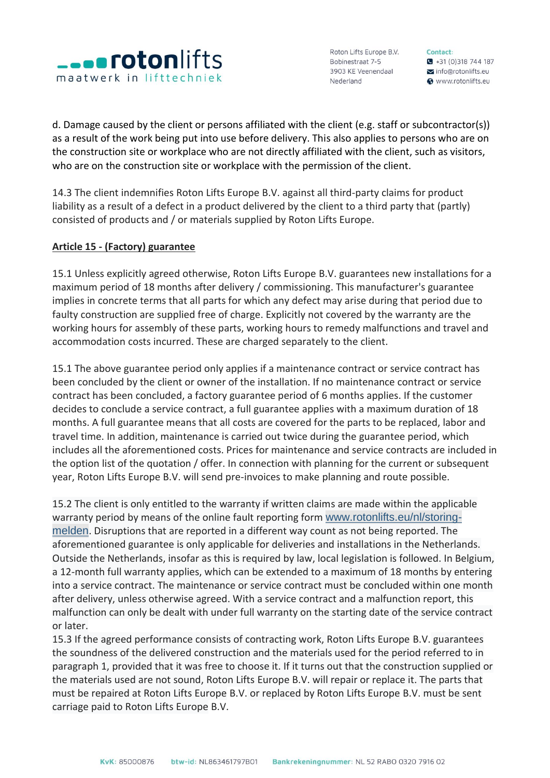

Contact:  $\bullet$  +31 (0) 318 744 187  $\sum$  info@rotonlifts.eu **@** www.rotonlifts.eu

d. Damage caused by the client or persons affiliated with the client (e.g. staff or subcontractor(s)) as a result of the work being put into use before delivery. This also applies to persons who are on the construction site or workplace who are not directly affiliated with the client, such as visitors, who are on the construction site or workplace with the permission of the client.

14.3 The client indemnifies Roton Lifts Europe B.V. against all third-party claims for product liability as a result of a defect in a product delivered by the client to a third party that (partly) consisted of products and / or materials supplied by Roton Lifts Europe.

# **Article 15 - (Factory) guarantee**

15.1 Unless explicitly agreed otherwise, Roton Lifts Europe B.V. guarantees new installations for a maximum period of 18 months after delivery / commissioning. This manufacturer's guarantee implies in concrete terms that all parts for which any defect may arise during that period due to faulty construction are supplied free of charge. Explicitly not covered by the warranty are the working hours for assembly of these parts, working hours to remedy malfunctions and travel and accommodation costs incurred. These are charged separately to the client.

15.1 The above guarantee period only applies if a maintenance contract or service contract has been concluded by the client or owner of the installation. If no maintenance contract or service contract has been concluded, a factory guarantee period of 6 months applies. If the customer decides to conclude a service contract, a full guarantee applies with a maximum duration of 18 months. A full guarantee means that all costs are covered for the parts to be replaced, labor and travel time. In addition, maintenance is carried out twice during the guarantee period, which includes all the aforementioned costs. Prices for maintenance and service contracts are included in the option list of the quotation / offer. In connection with planning for the current or subsequent year, Roton Lifts Europe B.V. will send pre-invoices to make planning and route possible.

15.2 The client is only entitled to the warranty if written claims are made within the applicable warranty period by means of the online fault reporting form [www.rotonlifts.eu/nl/storing](https://rotonlifts.eu/nl/storing-melden/)[melden](https://rotonlifts.eu/nl/storing-melden/). Disruptions that are reported in a different way count as not being reported. The aforementioned guarantee is only applicable for deliveries and installations in the Netherlands. Outside the Netherlands, insofar as this is required by law, local legislation is followed. In Belgium, a 12-month full warranty applies, which can be extended to a maximum of 18 months by entering into a service contract. The maintenance or service contract must be concluded within one month after delivery, unless otherwise agreed. With a service contract and a malfunction report, this malfunction can only be dealt with under full warranty on the starting date of the service contract or later.

15.3 If the agreed performance consists of contracting work, Roton Lifts Europe B.V. guarantees the soundness of the delivered construction and the materials used for the period referred to in paragraph 1, provided that it was free to choose it. If it turns out that the construction supplied or the materials used are not sound, Roton Lifts Europe B.V. will repair or replace it. The parts that must be repaired at Roton Lifts Europe B.V. or replaced by Roton Lifts Europe B.V. must be sent carriage paid to Roton Lifts Europe B.V.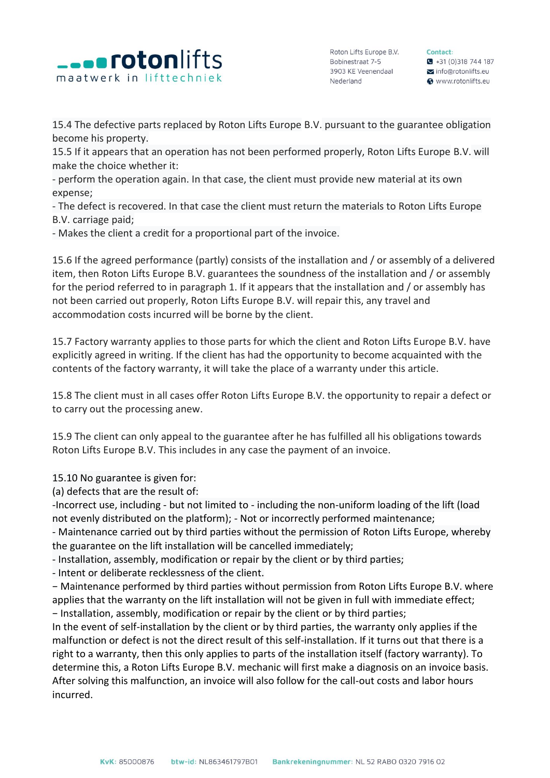

Contact:  $\bullet$  +31 (0)318 744 187 info@rotonlifts.eu **@** www.rotonlifts.eu

15.4 The defective parts replaced by Roton Lifts Europe B.V. pursuant to the guarantee obligation become his property.

15.5 If it appears that an operation has not been performed properly, Roton Lifts Europe B.V. will make the choice whether it:

- perform the operation again. In that case, the client must provide new material at its own expense;

- The defect is recovered. In that case the client must return the materials to Roton Lifts Europe B.V. carriage paid;

- Makes the client a credit for a proportional part of the invoice.

15.6 If the agreed performance (partly) consists of the installation and / or assembly of a delivered item, then Roton Lifts Europe B.V. guarantees the soundness of the installation and / or assembly for the period referred to in paragraph 1. If it appears that the installation and / or assembly has not been carried out properly, Roton Lifts Europe B.V. will repair this, any travel and accommodation costs incurred will be borne by the client.

15.7 Factory warranty applies to those parts for which the client and Roton Lifts Europe B.V. have explicitly agreed in writing. If the client has had the opportunity to become acquainted with the contents of the factory warranty, it will take the place of a warranty under this article.

15.8 The client must in all cases offer Roton Lifts Europe B.V. the opportunity to repair a defect or to carry out the processing anew.

15.9 The client can only appeal to the guarantee after he has fulfilled all his obligations towards Roton Lifts Europe B.V. This includes in any case the payment of an invoice.

15.10 No guarantee is given for:

(a) defects that are the result of:

-Incorrect use, including - but not limited to - including the non-uniform loading of the lift (load not evenly distributed on the platform); - Not or incorrectly performed maintenance;

- Maintenance carried out by third parties without the permission of Roton Lifts Europe, whereby the guarantee on the lift installation will be cancelled immediately;

- Installation, assembly, modification or repair by the client or by third parties;

- Intent or deliberate recklessness of the client.

− Maintenance performed by third parties without permission from Roton Lifts Europe B.V. where applies that the warranty on the lift installation will not be given in full with immediate effect; − Installation, assembly, modification or repair by the client or by third parties;

In the event of self-installation by the client or by third parties, the warranty only applies if the malfunction or defect is not the direct result of this self-installation. If it turns out that there is a right to a warranty, then this only applies to parts of the installation itself (factory warranty). To determine this, a Roton Lifts Europe B.V. mechanic will first make a diagnosis on an invoice basis. After solving this malfunction, an invoice will also follow for the call-out costs and labor hours incurred.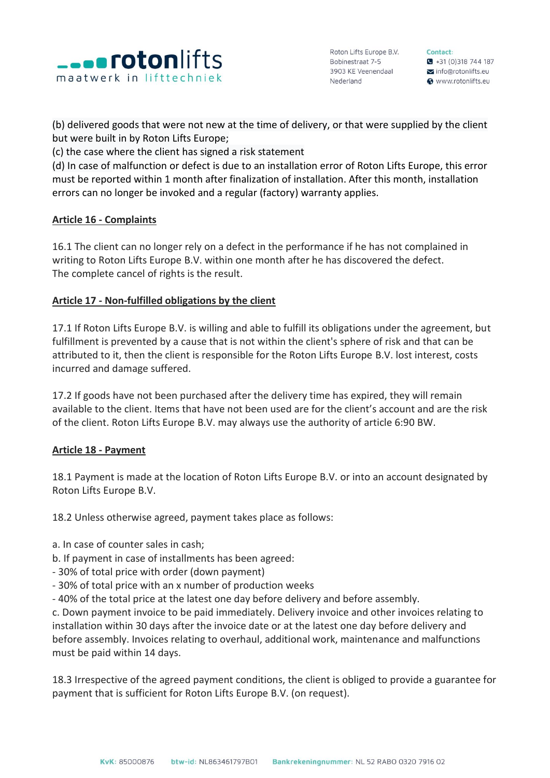

Contact:  $\bullet$  +31 (0)318 744 187 info@rotonlifts.eu **@** www.rotonlifts.eu

(b) delivered goods that were not new at the time of delivery, or that were supplied by the client but were built in by Roton Lifts Europe;

(c) the case where the client has signed a risk statement

(d) In case of malfunction or defect is due to an installation error of Roton Lifts Europe, this error must be reported within 1 month after finalization of installation. After this month, installation errors can no longer be invoked and a regular (factory) warranty applies.

# **Article 16 - Complaints**

16.1 The client can no longer rely on a defect in the performance if he has not complained in writing to Roton Lifts Europe B.V. within one month after he has discovered the defect. The complete cancel of rights is the result.

# **Article 17 - Non-fulfilled obligations by the client**

17.1 If Roton Lifts Europe B.V. is willing and able to fulfill its obligations under the agreement, but fulfillment is prevented by a cause that is not within the client's sphere of risk and that can be attributed to it, then the client is responsible for the Roton Lifts Europe B.V. lost interest, costs incurred and damage suffered.

17.2 If goods have not been purchased after the delivery time has expired, they will remain available to the client. Items that have not been used are for the client's account and are the risk of the client. Roton Lifts Europe B.V. may always use the authority of article 6:90 BW.

## **Article 18 - Payment**

18.1 Payment is made at the location of Roton Lifts Europe B.V. or into an account designated by Roton Lifts Europe B.V.

18.2 Unless otherwise agreed, payment takes place as follows:

- a. In case of counter sales in cash;
- b. If payment in case of installments has been agreed:
- 30% of total price with order (down payment)
- 30% of total price with an x number of production weeks
- 40% of the total price at the latest one day before delivery and before assembly.

c. Down payment invoice to be paid immediately. Delivery invoice and other invoices relating to installation within 30 days after the invoice date or at the latest one day before delivery and before assembly. Invoices relating to overhaul, additional work, maintenance and malfunctions must be paid within 14 days.

18.3 Irrespective of the agreed payment conditions, the client is obliged to provide a guarantee for payment that is sufficient for Roton Lifts Europe B.V. (on request).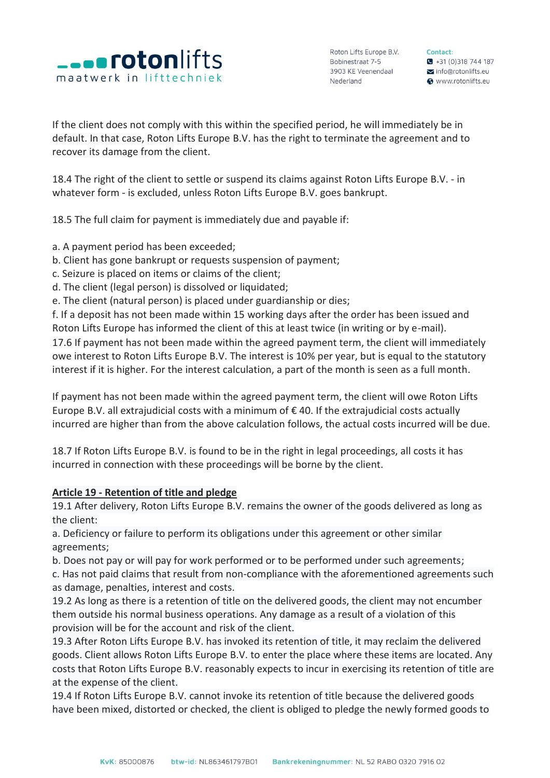

Contact:  $\bullet$  +31 (0)318 744 187 info@rotonlifts.eu **@** www.rotonlifts.eu

If the client does not comply with this within the specified period, he will immediately be in default. In that case, Roton Lifts Europe B.V. has the right to terminate the agreement and to recover its damage from the client.

18.4 The right of the client to settle or suspend its claims against Roton Lifts Europe B.V. - in whatever form - is excluded, unless Roton Lifts Europe B.V. goes bankrupt.

18.5 The full claim for payment is immediately due and payable if:

- a. A payment period has been exceeded;
- b. Client has gone bankrupt or requests suspension of payment;
- c. Seizure is placed on items or claims of the client;
- d. The client (legal person) is dissolved or liquidated;
- e. The client (natural person) is placed under guardianship or dies;

f. If a deposit has not been made within 15 working days after the order has been issued and Roton Lifts Europe has informed the client of this at least twice (in writing or by e-mail).

17.6 If payment has not been made within the agreed payment term, the client will immediately owe interest to Roton Lifts Europe B.V. The interest is 10% per year, but is equal to the statutory interest if it is higher. For the interest calculation, a part of the month is seen as a full month.

If payment has not been made within the agreed payment term, the client will owe Roton Lifts Europe B.V. all extrajudicial costs with a minimum of  $\epsilon$  40. If the extrajudicial costs actually incurred are higher than from the above calculation follows, the actual costs incurred will be due.

18.7 If Roton Lifts Europe B.V. is found to be in the right in legal proceedings, all costs it has incurred in connection with these proceedings will be borne by the client.

## **Article 19 - Retention of title and pledge**

19.1 After delivery, Roton Lifts Europe B.V. remains the owner of the goods delivered as long as the client:

a. Deficiency or failure to perform its obligations under this agreement or other similar agreements;

b. Does not pay or will pay for work performed or to be performed under such agreements;

c. Has not paid claims that result from non-compliance with the aforementioned agreements such as damage, penalties, interest and costs.

19.2 As long as there is a retention of title on the delivered goods, the client may not encumber them outside his normal business operations. Any damage as a result of a violation of this provision will be for the account and risk of the client.

19.3 After Roton Lifts Europe B.V. has invoked its retention of title, it may reclaim the delivered goods. Client allows Roton Lifts Europe B.V. to enter the place where these items are located. Any costs that Roton Lifts Europe B.V. reasonably expects to incur in exercising its retention of title are at the expense of the client.

19.4 If Roton Lifts Europe B.V. cannot invoke its retention of title because the delivered goods have been mixed, distorted or checked, the client is obliged to pledge the newly formed goods to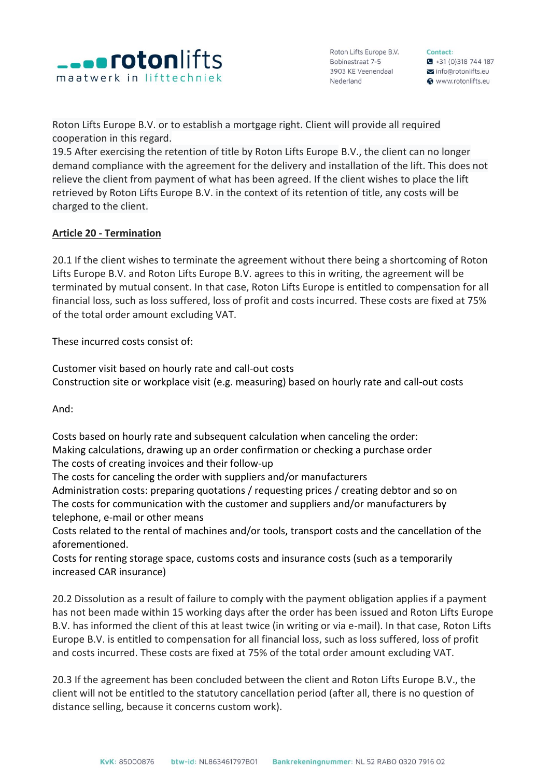

Contact:  $\bullet$  +31 (0)318 744 187 info@rotonlifts.eu **@** www.rotonlifts.eu

Roton Lifts Europe B.V. or to establish a mortgage right. Client will provide all required cooperation in this regard.

19.5 After exercising the retention of title by Roton Lifts Europe B.V., the client can no longer demand compliance with the agreement for the delivery and installation of the lift. This does not relieve the client from payment of what has been agreed. If the client wishes to place the lift retrieved by Roton Lifts Europe B.V. in the context of its retention of title, any costs will be charged to the client.

# **Article 20 - Termination**

20.1 If the client wishes to terminate the agreement without there being a shortcoming of Roton Lifts Europe B.V. and Roton Lifts Europe B.V. agrees to this in writing, the agreement will be terminated by mutual consent. In that case, Roton Lifts Europe is entitled to compensation for all financial loss, such as loss suffered, loss of profit and costs incurred. These costs are fixed at 75% of the total order amount excluding VAT.

These incurred costs consist of:

Customer visit based on hourly rate and call-out costs Construction site or workplace visit (e.g. measuring) based on hourly rate and call-out costs

And:

Costs based on hourly rate and subsequent calculation when canceling the order: Making calculations, drawing up an order confirmation or checking a purchase order The costs of creating invoices and their follow-up

The costs for canceling the order with suppliers and/or manufacturers

Administration costs: preparing quotations / requesting prices / creating debtor and so on The costs for communication with the customer and suppliers and/or manufacturers by telephone, e-mail or other means

Costs related to the rental of machines and/or tools, transport costs and the cancellation of the aforementioned.

Costs for renting storage space, customs costs and insurance costs (such as a temporarily increased CAR insurance)

20.2 Dissolution as a result of failure to comply with the payment obligation applies if a payment has not been made within 15 working days after the order has been issued and Roton Lifts Europe B.V. has informed the client of this at least twice (in writing or via e-mail). In that case, Roton Lifts Europe B.V. is entitled to compensation for all financial loss, such as loss suffered, loss of profit and costs incurred. These costs are fixed at 75% of the total order amount excluding VAT.

20.3 If the agreement has been concluded between the client and Roton Lifts Europe B.V., the client will not be entitled to the statutory cancellation period (after all, there is no question of distance selling, because it concerns custom work).